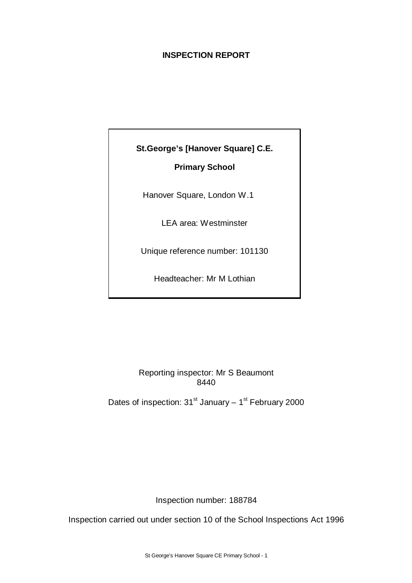# **INSPECTION REPORT**



# Reporting inspector: Mr S Beaumont 8440

Dates of inspection:  $31<sup>st</sup>$  January –  $1<sup>st</sup>$  February 2000

Inspection number: 188784

Inspection carried out under section 10 of the School Inspections Act 1996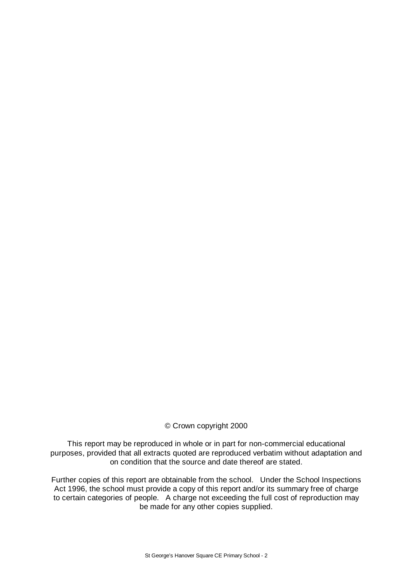## © Crown copyright 2000

This report may be reproduced in whole or in part for non-commercial educational purposes, provided that all extracts quoted are reproduced verbatim without adaptation and on condition that the source and date thereof are stated.

Further copies of this report are obtainable from the school. Under the School Inspections Act 1996, the school must provide a copy of this report and/or its summary free of charge to certain categories of people. A charge not exceeding the full cost of reproduction may be made for any other copies supplied.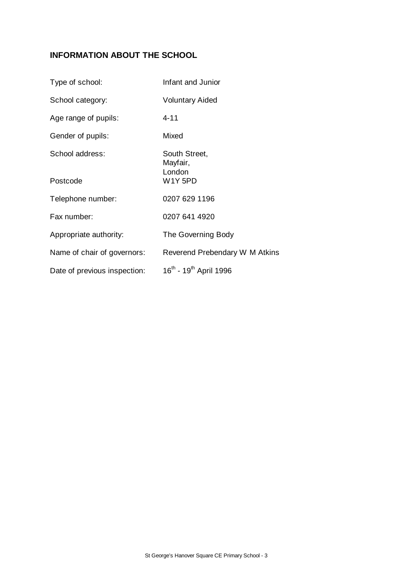# **INFORMATION ABOUT THE SCHOOL**

| Type of school:              | Infant and Junior                              |
|------------------------------|------------------------------------------------|
| School category:             | <b>Voluntary Aided</b>                         |
| Age range of pupils:         | $4 - 11$                                       |
| Gender of pupils:            | Mixed                                          |
| School address:              | South Street,<br>Mayfair,<br>London            |
| Postcode                     | <b>W1Y5PD</b>                                  |
| Telephone number:            | 0207 629 1196                                  |
| Fax number:                  | 0207 641 4920                                  |
| Appropriate authority:       | The Governing Body                             |
| Name of chair of governors:  | Reverend Prebendary W M Atkins                 |
| Date of previous inspection: | 16 <sup>th</sup> - 19 <sup>th</sup> April 1996 |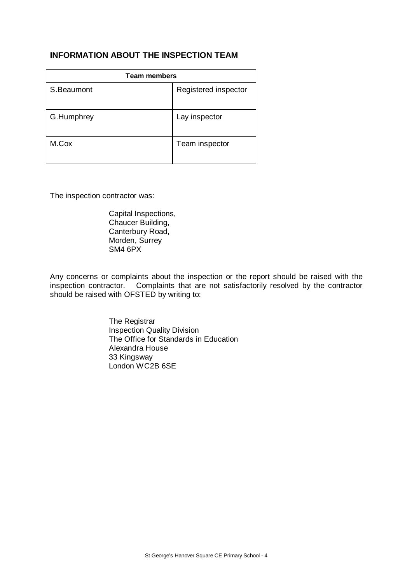# **INFORMATION ABOUT THE INSPECTION TEAM**

| <b>Team members</b> |                      |  |  |
|---------------------|----------------------|--|--|
| S.Beaumont          | Registered inspector |  |  |
| G.Humphrey          | Lay inspector        |  |  |
| M.Cox               | Team inspector       |  |  |

The inspection contractor was:

Capital Inspections, Chaucer Building, Canterbury Road, Morden, Surrey SM4 6PX

Any concerns or complaints about the inspection or the report should be raised with the inspection contractor. Complaints that are not satisfactorily resolved by the contractor should be raised with OFSTED by writing to:

> The Registrar Inspection Quality Division The Office for Standards in Education Alexandra House 33 Kingsway London WC2B 6SE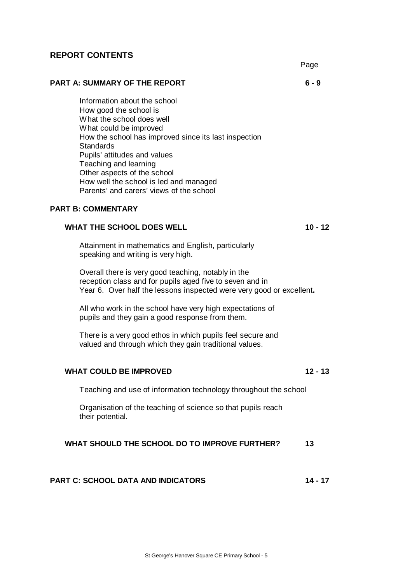## **REPORT CONTENTS**

Page

**PART A: SUMMARY OF THE REPORT 6 - 9**

Information about the school How good the school is What the school does well What could be improved How the school has improved since its last inspection **Standards** Pupils' attitudes and values Teaching and learning Other aspects of the school How well the school is led and managed Parents' and carers' views of the school

## **PART B: COMMENTARY**

### **WHAT THE SCHOOL DOES WELL 10 - 12**

Attainment in mathematics and English, particularly speaking and writing is very high.

Overall there is very good teaching, notably in the reception class and for pupils aged five to seven and in Year 6. Over half the lessons inspected were very good or excellent**.**

All who work in the school have very high expectations of pupils and they gain a good response from them.

There is a very good ethos in which pupils feel secure and valued and through which they gain traditional values.

#### **WHAT COULD BE IMPROVED 12 - 13**

Teaching and use of information technology throughout the school

Organisation of the teaching of science so that pupils reach their potential.

#### **WHAT SHOULD THE SCHOOL DO TO IMPROVE FURTHER? 13**

#### **PART C: SCHOOL DATA AND INDICATORS 14 - 17**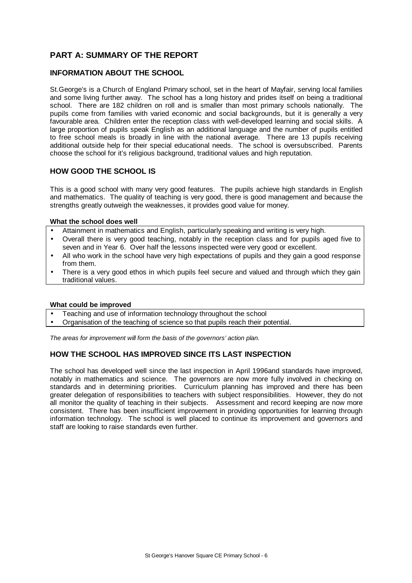# **PART A: SUMMARY OF THE REPORT**

#### **INFORMATION ABOUT THE SCHOOL**

St.George's is a Church of England Primary school, set in the heart of Mayfair, serving local families and some living further away. The school has a long history and prides itself on being a traditional school. There are 182 children on roll and is smaller than most primary schools nationally. The pupils come from families with varied economic and social backgrounds, but it is generally a very favourable area. Children enter the reception class with well-developed learning and social skills. A large proportion of pupils speak English as an additional language and the number of pupils entitled to free school meals is broadly in line with the national average. There are 13 pupils receiving additional outside help for their special educational needs. The school is oversubscribed. Parents choose the school for it's religious background, traditional values and high reputation.

#### **HOW GOOD THE SCHOOL IS**

This is a good school with many very good features. The pupils achieve high standards in English and mathematics. The quality of teaching is very good, there is good management and because the strengths greatly outweigh the weaknesses, it provides good value for money.

#### **What the school does well**

- Attainment in mathematics and English, particularly speaking and writing is very high.
- Overall there is very good teaching, notably in the reception class and for pupils aged five to seven and in Year 6. Over half the lessons inspected were very good or excellent.
- All who work in the school have very high expectations of pupils and they gain a good response from them.
- There is a very good ethos in which pupils feel secure and valued and through which they gain traditional values.

#### **What could be improved**

- Teaching and use of information technology throughout the school
- Organisation of the teaching of science so that pupils reach their potential.

*The areas for improvement will form the basis of the governors' action plan.*

## **HOW THE SCHOOL HAS IMPROVED SINCE ITS LAST INSPECTION**

The school has developed well since the last inspection in April 1996and standards have improved, notably in mathematics and science. The governors are now more fully involved in checking on standards and in determining priorities. Curriculum planning has improved and there has been greater delegation of responsibilities to teachers with subject responsibilities. However, they do not all monitor the quality of teaching in their subjects. Assessment and record keeping are now more consistent. There has been insufficient improvement in providing opportunities for learning through information technology. The school is well placed to continue its improvement and governors and staff are looking to raise standards even further.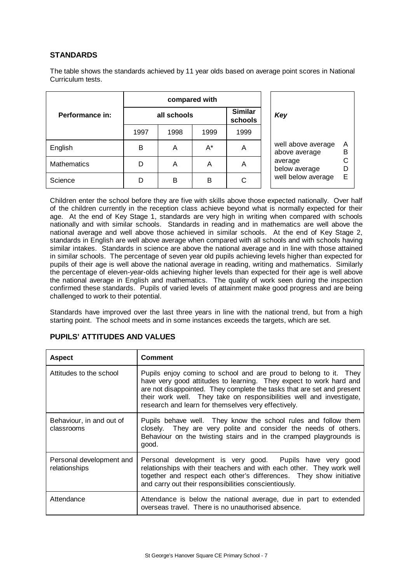## **STANDARDS**

The table shows the standards achieved by 11 year olds based on average point scores in National Curriculum tests.

|                    | compared with |                           |       |      |  |  |
|--------------------|---------------|---------------------------|-------|------|--|--|
| Performance in:    | all schools   | <b>Similar</b><br>schools |       |      |  |  |
|                    | 1997          | 1998                      | 1999  | 1999 |  |  |
| English            | в             | Α                         | $A^*$ | Α    |  |  |
| <b>Mathematics</b> | D             | Α                         | Α     | А    |  |  |
| Science            |               | R                         | R     |      |  |  |



Children enter the school before they are five with skills above those expected nationally. Over half of the children currently in the reception class achieve beyond what is normally expected for their age. At the end of Key Stage 1, standards are very high in writing when compared with schools nationally and with similar schools. Standards in reading and in mathematics are well above the national average and well above those achieved in similar schools. At the end of Key Stage 2, standards in English are well above average when compared with all schools and with schools having similar intakes. Standards in science are above the national average and in line with those attained in similar schools. The percentage of seven year old pupils achieving levels higher than expected for pupils of their age is well above the national average in reading, writing and mathematics. Similarly the percentage of eleven-year-olds achieving higher levels than expected for their age is well above the national average in English and mathematics. The quality of work seen during the inspection confirmed these standards. Pupils of varied levels of attainment make good progress and are being challenged to work to their potential.

Standards have improved over the last three years in line with the national trend, but from a high starting point. The school meets and in some instances exceeds the targets, which are set.

| <b>Aspect</b>                             | <b>Comment</b>                                                                                                                                                                                                                                                                                                                                   |
|-------------------------------------------|--------------------------------------------------------------------------------------------------------------------------------------------------------------------------------------------------------------------------------------------------------------------------------------------------------------------------------------------------|
| Attitudes to the school                   | Pupils enjoy coming to school and are proud to belong to it. They<br>have very good attitudes to learning. They expect to work hard and<br>are not disappointed. They complete the tasks that are set and present<br>their work well. They take on responsibilities well and investigate,<br>research and learn for themselves very effectively. |
| Behaviour, in and out of<br>classrooms    | Pupils behave well. They know the school rules and follow them<br>closely. They are very polite and consider the needs of others.<br>Behaviour on the twisting stairs and in the cramped playgrounds is<br>good.                                                                                                                                 |
| Personal development and<br>relationships | Personal development is very good. Pupils have very good<br>relationships with their teachers and with each other. They work well<br>together and respect each other's differences. They show initiative<br>and carry out their responsibilities conscientiously.                                                                                |
| Attendance                                | Attendance is below the national average, due in part to extended<br>overseas travel. There is no unauthorised absence.                                                                                                                                                                                                                          |

## **PUPILS' ATTITUDES AND VALUES**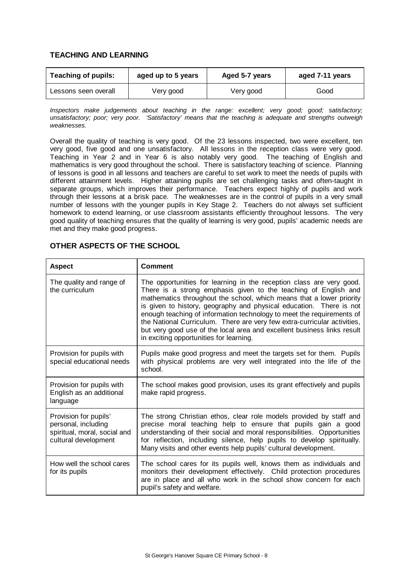### **TEACHING AND LEARNING**

| <b>Teaching of pupils:</b> | aged up to 5 years | Aged 5-7 years | aged 7-11 years |
|----------------------------|--------------------|----------------|-----------------|
| Lessons seen overall       | Very good          | Very good      | Good            |

*Inspectors make judgements about teaching in the range: excellent; very good; good; satisfactory; unsatisfactory; poor; very poor. 'Satisfactory' means that the teaching is adequate and strengths outweigh weaknesses.*

Overall the quality of teaching is very good. Of the 23 lessons inspected, two were excellent, ten very good, five good and one unsatisfactory. All lessons in the reception class were very good. Teaching in Year 2 and in Year 6 is also notably very good. The teaching of English and mathematics is very good throughout the school. There is satisfactory teaching of science. Planning of lessons is good in all lessons and teachers are careful to set work to meet the needs of pupils with different attainment levels. Higher attaining pupils are set challenging tasks and often-taught in separate groups, which improves their performance. Teachers expect highly of pupils and work through their lessons at a brisk pace. The weaknesses are in the control of pupils in a very small number of lessons with the younger pupils in Key Stage 2. Teachers do not always set sufficient homework to extend learning, or use classroom assistants efficiently throughout lessons. The very good quality of teaching ensures that the quality of learning is very good, pupils' academic needs are met and they make good progress.

| <b>Aspect</b>                                                                                        | <b>Comment</b>                                                                                                                                                                                                                                                                                                                                                                                                                                                                                                                                                    |
|------------------------------------------------------------------------------------------------------|-------------------------------------------------------------------------------------------------------------------------------------------------------------------------------------------------------------------------------------------------------------------------------------------------------------------------------------------------------------------------------------------------------------------------------------------------------------------------------------------------------------------------------------------------------------------|
| The quality and range of<br>the curriculum                                                           | The opportunities for learning in the reception class are very good.<br>There is a strong emphasis given to the teaching of English and<br>mathematics throughout the school, which means that a lower priority<br>is given to history, geography and physical education. There is not<br>enough teaching of information technology to meet the requirements of<br>the National Curriculum. There are very few extra-curricular activities,<br>but very good use of the local area and excellent business links result<br>in exciting opportunities for learning. |
| Provision for pupils with<br>special educational needs                                               | Pupils make good progress and meet the targets set for them. Pupils<br>with physical problems are very well integrated into the life of the<br>school.                                                                                                                                                                                                                                                                                                                                                                                                            |
| Provision for pupils with<br>English as an additional<br>language                                    | The school makes good provision, uses its grant effectively and pupils<br>make rapid progress.                                                                                                                                                                                                                                                                                                                                                                                                                                                                    |
| Provision for pupils'<br>personal, including<br>spiritual, moral, social and<br>cultural development | The strong Christian ethos, clear role models provided by staff and<br>precise moral teaching help to ensure that pupils gain a good<br>understanding of their social and moral responsibilities. Opportunities<br>for reflection, including silence, help pupils to develop spiritually.<br>Many visits and other events help pupils' cultural development.                                                                                                                                                                                                      |
| How well the school cares<br>for its pupils                                                          | The school cares for its pupils well, knows them as individuals and<br>monitors their development effectively. Child protection procedures<br>are in place and all who work in the school show concern for each<br>pupil's safety and welfare.                                                                                                                                                                                                                                                                                                                    |

#### **OTHER ASPECTS OF THE SCHOOL**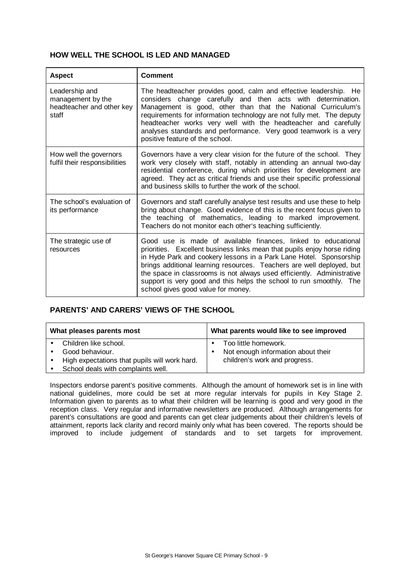## **HOW WELL THE SCHOOL IS LED AND MANAGED**

| <b>Aspect</b>                                                             | <b>Comment</b>                                                                                                                                                                                                                                                                                                                                                                                                                                                                  |
|---------------------------------------------------------------------------|---------------------------------------------------------------------------------------------------------------------------------------------------------------------------------------------------------------------------------------------------------------------------------------------------------------------------------------------------------------------------------------------------------------------------------------------------------------------------------|
| Leadership and<br>management by the<br>headteacher and other key<br>staff | The headteacher provides good, calm and effective leadership. He<br>considers change carefully and then acts with determination.<br>Management is good, other than that the National Curriculum's<br>requirements for information technology are not fully met. The deputy<br>headteacher works very well with the headteacher and carefully<br>analyses standards and performance. Very good teamwork is a very<br>positive feature of the school.                             |
| How well the governors<br>fulfil their responsibilities                   | Governors have a very clear vision for the future of the school. They<br>work very closely with staff, notably in attending an annual two-day<br>residential conference, during which priorities for development are<br>agreed. They act as critical friends and use their specific professional<br>and business skills to further the work of the school.                                                                                                                      |
| The school's evaluation of<br>its performance                             | Governors and staff carefully analyse test results and use these to help<br>bring about change. Good evidence of this is the recent focus given to<br>the teaching of mathematics, leading to marked improvement.<br>Teachers do not monitor each other's teaching sufficiently.                                                                                                                                                                                                |
| The strategic use of<br>resources                                         | Good use is made of available finances, linked to educational<br>priorities. Excellent business links mean that pupils enjoy horse riding<br>in Hyde Park and cookery lessons in a Park Lane Hotel. Sponsorship<br>brings additional learning resources. Teachers are well deployed, but<br>the space in classrooms is not always used efficiently. Administrative<br>support is very good and this helps the school to run smoothly. The<br>school gives good value for money. |

## **PARENTS' AND CARERS' VIEWS OF THE SCHOOL**

| What pleases parents most                     | What parents would like to see improved |
|-----------------------------------------------|-----------------------------------------|
| Children like school.                         | Too little homework.                    |
| Good behaviour.                               | Not enough information about their      |
| High expectations that pupils will work hard. | children's work and progress.           |
| School deals with complaints well.            |                                         |

Inspectors endorse parent's positive comments. Although the amount of homework set is in line with national guidelines, more could be set at more regular intervals for pupils in Key Stage 2. Information given to parents as to what their children will be learning is good and very good in the reception class. Very regular and informative newsletters are produced. Although arrangements for parent's consultations are good and parents can get clear judgements about their children's levels of attainment, reports lack clarity and record mainly only what has been covered. The reports should be improved to include judgement of standards and to set targets for improvement.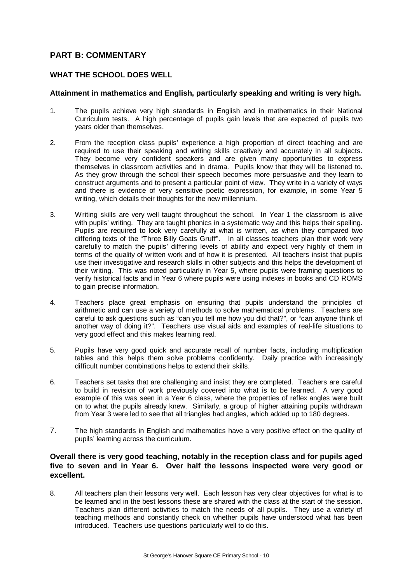## **PART B: COMMENTARY**

### **WHAT THE SCHOOL DOES WELL**

#### **Attainment in mathematics and English, particularly speaking and writing is very high.**

- 1. The pupils achieve very high standards in English and in mathematics in their National Curriculum tests. A high percentage of pupils gain levels that are expected of pupils two years older than themselves.
- 2. From the reception class pupils' experience a high proportion of direct teaching and are required to use their speaking and writing skills creatively and accurately in all subjects. They become very confident speakers and are given many opportunities to express themselves in classroom activities and in drama. Pupils know that they will be listened to. As they grow through the school their speech becomes more persuasive and they learn to construct arguments and to present a particular point of view. They write in a variety of ways and there is evidence of very sensitive poetic expression, for example, in some Year 5 writing, which details their thoughts for the new millennium.
- 3. Writing skills are very well taught throughout the school. In Year 1 the classroom is alive with pupils' writing. They are taught phonics in a systematic way and this helps their spelling. Pupils are required to look very carefully at what is written, as when they compared two differing texts of the "Three Billy Goats Gruff". In all classes teachers plan their work very carefully to match the pupils' differing levels of ability and expect very highly of them in terms of the quality of written work and of how it is presented. All teachers insist that pupils use their investigative and research skills in other subjects and this helps the development of their writing. This was noted particularly in Year 5, where pupils were framing questions to verify historical facts and in Year 6 where pupils were using indexes in books and CD ROMS to gain precise information.
- 4. Teachers place great emphasis on ensuring that pupils understand the principles of arithmetic and can use a variety of methods to solve mathematical problems. Teachers are careful to ask questions such as "can you tell me how you did that?", or "can anyone think of another way of doing it?". Teachers use visual aids and examples of real-life situations to very good effect and this makes learning real.
- 5. Pupils have very good quick and accurate recall of number facts, including multiplication tables and this helps them solve problems confidently. Daily practice with increasingly difficult number combinations helps to extend their skills.
- 6. Teachers set tasks that are challenging and insist they are completed. Teachers are careful to build in revision of work previously covered into what is to be learned. A very good example of this was seen in a Year 6 class, where the properties of reflex angles were built on to what the pupils already knew. Similarly, a group of higher attaining pupils withdrawn from Year 3 were led to see that all triangles had angles, which added up to 180 degrees.
- 7. The high standards in English and mathematics have a very positive effect on the quality of pupils' learning across the curriculum.

#### **Overall there is very good teaching, notably in the reception class and for pupils aged five to seven and in Year 6. Over half the lessons inspected were very good or excellent.**

8. All teachers plan their lessons very well. Each lesson has very clear objectives for what is to be learned and in the best lessons these are shared with the class at the start of the session. Teachers plan different activities to match the needs of all pupils. They use a variety of teaching methods and constantly check on whether pupils have understood what has been introduced. Teachers use questions particularly well to do this.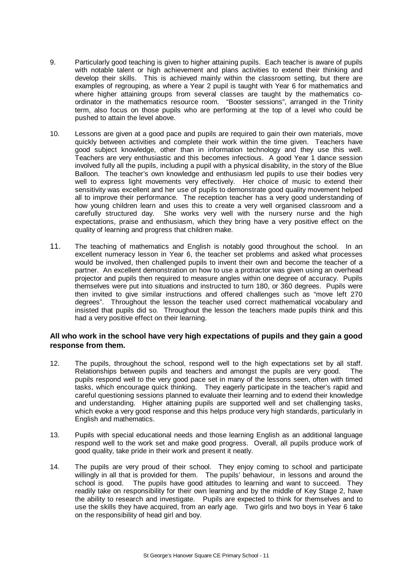- 9. Particularly good teaching is given to higher attaining pupils. Each teacher is aware of pupils with notable talent or high achievement and plans activities to extend their thinking and develop their skills. This is achieved mainly within the classroom setting, but there are examples of regrouping, as where a Year 2 pupil is taught with Year 6 for mathematics and where higher attaining groups from several classes are taught by the mathematics coordinator in the mathematics resource room. "Booster sessions", arranged in the Trinity term, also focus on those pupils who are performing at the top of a level who could be pushed to attain the level above.
- 10. Lessons are given at a good pace and pupils are required to gain their own materials, move quickly between activities and complete their work within the time given. Teachers have good subject knowledge, other than in information technology and they use this well. Teachers are very enthusiastic and this becomes infectious. A good Year 1 dance session involved fully all the pupils, including a pupil with a physical disability, in the story of the Blue Balloon. The teacher's own knowledge and enthusiasm led pupils to use their bodies very well to express light movements very effectively. Her choice of music to extend their sensitivity was excellent and her use of pupils to demonstrate good quality movement helped all to improve their performance. The reception teacher has a very good understanding of how young children learn and uses this to create a very well organised classroom and a carefully structured day. She works very well with the nursery nurse and the high expectations, praise and enthusiasm, which they bring have a very positive effect on the quality of learning and progress that children make.
- 11. The teaching of mathematics and English is notably good throughout the school. In an excellent numeracy lesson in Year 6, the teacher set problems and asked what processes would be involved, then challenged pupils to invent their own and become the teacher of a partner. An excellent demonstration on how to use a protractor was given using an overhead projector and pupils then required to measure angles within one degree of accuracy. Pupils themselves were put into situations and instructed to turn 180, or 360 degrees. Pupils were then invited to give similar instructions and offered challenges such as "move left 270 degrees". Throughout the lesson the teacher used correct mathematical vocabulary and insisted that pupils did so. Throughout the lesson the teachers made pupils think and this had a very positive effect on their learning.

#### **All who work in the school have very high expectations of pupils and they gain a good response from them.**

- 12. The pupils, throughout the school, respond well to the high expectations set by all staff. Relationships between pupils and teachers and amongst the pupils are very good. The pupils respond well to the very good pace set in many of the lessons seen, often with timed tasks, which encourage quick thinking. They eagerly participate in the teacher's rapid and careful questioning sessions planned to evaluate their learning and to extend their knowledge and understanding. Higher attaining pupils are supported well and set challenging tasks, which evoke a very good response and this helps produce very high standards, particularly in English and mathematics.
- 13. Pupils with special educational needs and those learning English as an additional language respond well to the work set and make good progress. Overall, all pupils produce work of good quality, take pride in their work and present it neatly.
- 14. The pupils are very proud of their school. They enjoy coming to school and participate willingly in all that is provided for them. The pupils' behaviour, in lessons and around the school is good. The pupils have good attitudes to learning and want to succeed. They readily take on responsibility for their own learning and by the middle of Key Stage 2, have the ability to research and investigate. Pupils are expected to think for themselves and to use the skills they have acquired, from an early age. Two girls and two boys in Year 6 take on the responsibility of head girl and boy.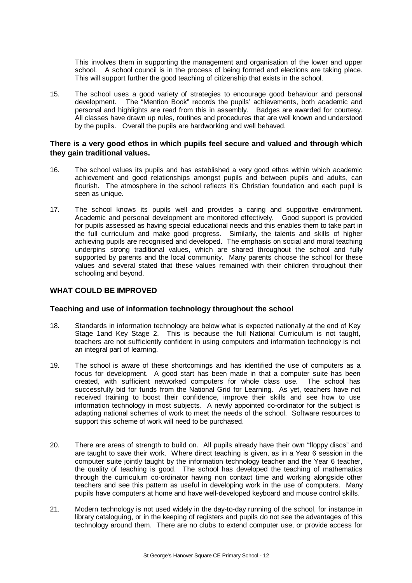This involves them in supporting the management and organisation of the lower and upper school. A school council is in the process of being formed and elections are taking place. This will support further the good teaching of citizenship that exists in the school.

15. The school uses a good variety of strategies to encourage good behaviour and personal development. The "Mention Book" records the pupils' achievements, both academic and personal and highlights are read from this in assembly. Badges are awarded for courtesy. All classes have drawn up rules, routines and procedures that are well known and understood by the pupils. Overall the pupils are hardworking and well behaved.

#### **There is a very good ethos in which pupils feel secure and valued and through which they gain traditional values.**

- 16. The school values its pupils and has established a very good ethos within which academic achievement and good relationships amongst pupils and between pupils and adults, can flourish. The atmosphere in the school reflects it's Christian foundation and each pupil is seen as unique.
- 17. The school knows its pupils well and provides a caring and supportive environment. Academic and personal development are monitored effectively. Good support is provided for pupils assessed as having special educational needs and this enables them to take part in the full curriculum and make good progress. Similarly, the talents and skills of higher achieving pupils are recognised and developed. The emphasis on social and moral teaching underpins strong traditional values, which are shared throughout the school and fully supported by parents and the local community. Many parents choose the school for these values and several stated that these values remained with their children throughout their schooling and beyond.

#### **WHAT COULD BE IMPROVED**

#### **Teaching and use of information technology throughout the school**

- 18. Standards in information technology are below what is expected nationally at the end of Key Stage 1and Key Stage 2. This is because the full National Curriculum is not taught, teachers are not sufficiently confident in using computers and information technology is not an integral part of learning.
- 19. The school is aware of these shortcomings and has identified the use of computers as a focus for development. A good start has been made in that a computer suite has been created, with sufficient networked computers for whole class use. The school has successfully bid for funds from the National Grid for Learning. As yet, teachers have not received training to boost their confidence, improve their skills and see how to use information technology in most subjects. A newly appointed co-ordinator for the subject is adapting national schemes of work to meet the needs of the school. Software resources to support this scheme of work will need to be purchased.
- 20. There are areas of strength to build on. All pupils already have their own "floppy discs" and are taught to save their work. Where direct teaching is given, as in a Year 6 session in the computer suite jointly taught by the information technology teacher and the Year 6 teacher, the quality of teaching is good. The school has developed the teaching of mathematics through the curriculum co-ordinator having non contact time and working alongside other teachers and see this pattern as useful in developing work in the use of computers. Many pupils have computers at home and have well-developed keyboard and mouse control skills.
- 21. Modern technology is not used widely in the day-to-day running of the school, for instance in library cataloguing, or in the keeping of registers and pupils do not see the advantages of this technology around them. There are no clubs to extend computer use, or provide access for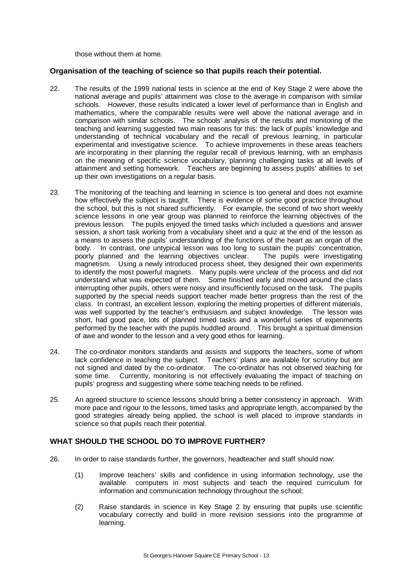those without them at home.

#### **Organisation of the teaching of science so that pupils reach their potential.**

- 22. The results of the 1999 national tests in science at the end of Key Stage 2 were above the national average and pupils' attainment was close to the average in comparison with similar schools. However, these results indicated a lower level of performance than in English and mathematics, where the comparable results were well above the national average and in comparison with similar schools. The schools' analysis of the results and monitoring of the teaching and learning suggested two main reasons for this: the lack of pupils' knowledge and understanding of technical vocabulary and the recall of previous learning, in particular experimental and investigative science. To achieve improvements in these areas teachers are incorporating in their planning the regular recall of previous learning, with an emphasis on the meaning of specific science vocabulary, planning challenging tasks at all levels of attainment and setting homework. Teachers are beginning to assess pupils' abilities to set up their own investigations on a regular basis.
- 23. The monitoring of the teaching and learning in science is too general and does not examine how effectively the subject is taught. There is evidence of some good practice throughout the school, but this is not shared sufficiently. For example, the second of two short weekly science lessons in one year group was planned to reinforce the learning objectives of the previous lesson. The pupils enjoyed the timed tasks which included a questions and answer session, a short task working from a vocabulary sheet and a quiz at the end of the lesson as a means to assess the pupils' understanding of the functions of the heart as an organ of the body. In contrast, one untypical lesson was too long to sustain the pupils' concentration, poorly planned and the learning objectives unclear. The pupils were investigating magnetism. Using a newly introduced process sheet, they designed their own experiments to identify the most powerful magnets. Many pupils were unclear of the process and did not understand what was expected of them. Some finished early and moved around the class interrupting other pupils, others were noisy and insufficiently focused on the task. The pupils supported by the special needs support teacher made better progress than the rest of the class. In contrast, an excellent lesson, exploring the melting properties of different materials, was well supported by the teacher's enthusiasm and subject knowledge. The lesson was short, had good pace, lots of planned timed tasks and a wonderful series of experiments performed by the teacher with the pupils huddled around. This brought a spiritual dimension of awe and wonder to the lesson and a very good ethos for learning.
- 24. The co-ordinator monitors standards and assists and supports the teachers, some of whom lack confidence in teaching the subject. Teachers' plans are available for scrutiny but are not signed and dated by the co-ordinator. The co-ordinator has not observed teaching for some time. Currently, monitoring is not effectively evaluating the impact of teaching on pupils' progress and suggesting where some teaching needs to be refined.
- 25. An agreed structure to science lessons should bring a better consistency in approach. With more pace and rigour to the lessons, timed tasks and appropriate length, accompanied by the good strategies already being applied, the school is well placed to improve standards in science so that pupils reach their potential.

#### **WHAT SHOULD THE SCHOOL DO TO IMPROVE FURTHER?**

- 26. In order to raise standards further, the governors, headteacher and staff should now:
	- (1) Improve teachers' skills and confidence in using information technology, use the available computers in most subjects and teach the required curriculum for information and communication technology throughout the school;
	- (2) Raise standards in science in Key Stage 2 by ensuring that pupils use scientific vocabulary correctly and build in more revision sessions into the programme of learning.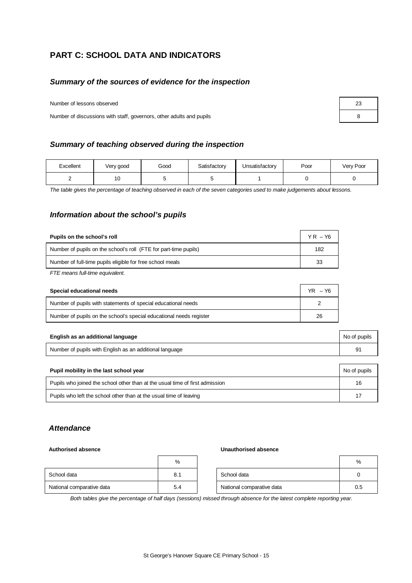# **PART C: SCHOOL DATA AND INDICATORS**

#### *Summary of the sources of evidence for the inspection*

Number of lessons observed

Number of discussions with staff, governors, other adults and pupils 8

#### *Summary of teaching observed during the inspection*

| Excellent | Very good | Good | Satisfactory | Unsatisfactory | Poor | Very Poor |
|-----------|-----------|------|--------------|----------------|------|-----------|
|           | ט ו       |      |              |                |      |           |

*The table gives the percentage of teaching observed in each of the seven categories used to make judgements about lessons.*

#### *Information about the school's pupils*

| Pupils on the school's roll                                      | $YR - Y6$ |
|------------------------------------------------------------------|-----------|
| Number of pupils on the school's roll (FTE for part-time pupils) | 182       |
| Number of full-time pupils eligible for free school meals        | 33        |

*FTE means full-time equivalent.*

| Special educational needs                                           | $YR - Y6$ |
|---------------------------------------------------------------------|-----------|
| Number of pupils with statements of special educational needs       |           |
| Number of pupils on the school's special educational needs register | 26        |

| English as an additional language                       | No of pupils |
|---------------------------------------------------------|--------------|
| Number of pupils with English as an additional language | 91           |

| Pupil mobility in the last school year                                       | No of pupils |
|------------------------------------------------------------------------------|--------------|
| Pupils who joined the school other than at the usual time of first admission | 16           |
| Pupils who left the school other than at the usual time of leaving           | 17           |

#### *Attendance*

#### **Authorised absence Unauthorised absence**

|                           | %   |                           | %   |
|---------------------------|-----|---------------------------|-----|
| School data               | 8.1 | School data               |     |
| National comparative data | 5.4 | National comparative data | 0.5 |

*Both tables give the percentage of half days (sessions) missed through absence for the latest complete reporting year.*

| 23 |  |
|----|--|
| 8  |  |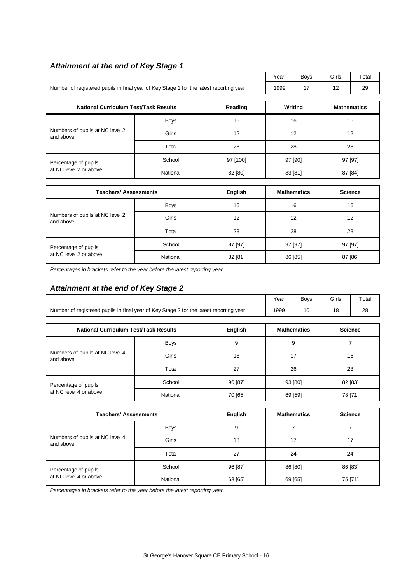# *Attainment at the end of Key Stage 1*

| 17 | 12                            |                                        |  |
|----|-------------------------------|----------------------------------------|--|
|    |                               | 29                                     |  |
|    |                               | <b>Mathematics</b>                     |  |
|    |                               |                                        |  |
| 16 |                               | 16                                     |  |
| 12 |                               | 12                                     |  |
| 28 |                               | 28                                     |  |
|    |                               | 97 [97]                                |  |
|    | 87 [84]                       |                                        |  |
|    |                               |                                        |  |
|    | Writing<br>97 [90]<br>83 [81] | <b>Mathamatica</b><br>P <sub>min</sub> |  |

| <b>Teachers' Assessments</b>                 |             | English | <b>Mathematics</b> | <b>Science</b> |
|----------------------------------------------|-------------|---------|--------------------|----------------|
|                                              | <b>Boys</b> | 16      | 16                 | 16             |
| Numbers of pupils at NC level 2<br>and above | Girls       | 12      | 12                 | 12             |
|                                              | Total       | 28      | 28                 | 28             |
| Percentage of pupils                         | School      | 97 [97] | 97 [97]            | 97 [97]        |
| at NC level 2 or above                       | National    | 82 [81] | 86 [85]            | 87 [86]        |

*Percentages in brackets refer to the year before the latest reporting year.*

## *Attainment at the end of Key Stage 2*

|                                                                                        |                    |                | Year           | <b>Boys</b> | Girls   | Total   |
|----------------------------------------------------------------------------------------|--------------------|----------------|----------------|-------------|---------|---------|
| Number of registered pupils in final year of Key Stage 2 for the latest reporting year | 1999               | 10             | 18             | 28          |         |         |
| <b>National Curriculum Test/Task Results</b>                                           | <b>Mathematics</b> |                | <b>Science</b> |             |         |         |
|                                                                                        |                    | <b>English</b> |                |             |         |         |
| Numbers of pupils at NC level 4<br>and above                                           | <b>Boys</b>        | 9              | 9              |             |         |         |
|                                                                                        | Girls              | 18             |                | 17          |         | 16      |
|                                                                                        | Total              | 27             | 26<br>23       |             |         |         |
| Percentage of pupils                                                                   | School             | 96 [87]        |                | 93 [80]     |         | 82 [83] |
| at NC level 4 or above                                                                 | National           | 70 [65]        |                | 69 [59]     | 78 [71] |         |

| <b>Teachers' Assessments</b>                   |             | <b>English</b> | <b>Mathematics</b> | <b>Science</b> |
|------------------------------------------------|-------------|----------------|--------------------|----------------|
| Numbers of pupils at NC level 4<br>and above   | <b>Boys</b> | 9              |                    |                |
|                                                | Girls       | 18             | 17                 | 17             |
|                                                | Total       | 27             | 24                 | 24             |
| Percentage of pupils<br>at NC level 4 or above | School      | 96 [87]        | 86 [80]            | 86 [83]        |
|                                                | National    | 68 [65]        | 69 [65]            | 75 [71]        |

*Percentages in brackets refer to the year before the latest reporting year.*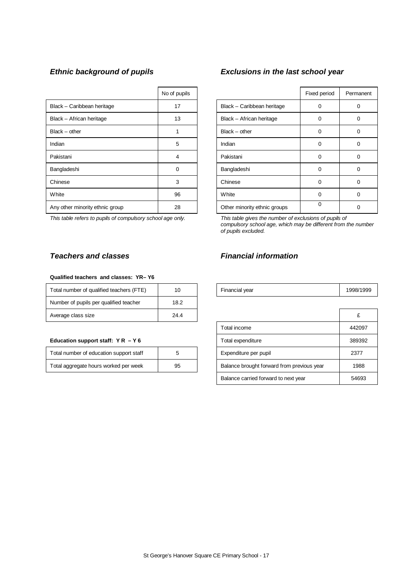|                                 | No of pupils |             |                              | Fixed period | Perma |
|---------------------------------|--------------|-------------|------------------------------|--------------|-------|
| Black - Caribbean heritage      | 17           |             | Black - Caribbean heritage   | 0            | 0     |
| Black - African heritage        | 13           |             | Black - African heritage     | $\Omega$     | 0     |
| $Black - other$                 |              |             | $Black - other$              | 0            | 0     |
| Indian                          | 5            | Indian      |                              | $\Omega$     | 0     |
| Pakistani                       | 4            | Pakistani   |                              | 0            | 0     |
| Bangladeshi                     | $\Omega$     | Bangladeshi |                              | 0            | 0     |
| Chinese                         | 3            | Chinese     |                              | $\Omega$     | 0     |
| White                           | 96           | White       |                              | $\Omega$     | 0     |
| Any other minority ethnic group | 28           |             | Other minority ethnic groups | 0            | 0     |

*This table refers to pupils of compulsory school age only. This table gives the number of exclusions of pupils of*

#### **Qualified teachers and classes: YR– Y6**

| Total number of qualified teachers (FTE) | 10   | Financial year | 1998/ |
|------------------------------------------|------|----------------|-------|
| Number of pupils per qualified teacher   | 18.2 |                |       |
| Average class size                       | 24.4 |                |       |

#### Education support staff:  $Y R - Y 6$

| Total number of education support staff |    | Expenditure per pupil                      | 2377 |
|-----------------------------------------|----|--------------------------------------------|------|
| Total aggregate hours worked per week   | 95 | Balance brought forward from previous year | 198  |

## *Ethnic background of pupils Exclusions in the last school year*

| No of pupils |                              | Fixed period | Permanent |
|--------------|------------------------------|--------------|-----------|
| 17           | Black - Caribbean heritage   | 0            |           |
| 13           | Black - African heritage     | $\Omega$     | 0         |
|              | $Black - other$              | 0            | 0         |
| 5            | Indian                       | 0            |           |
| 4            | Pakistani                    | $\Omega$     | 0         |
| ი            | Bangladeshi                  | $\Omega$     |           |
| 3            | Chinese                      | $\Omega$     | 0         |
| 96           | White                        | 0            | 0         |
| 28           | Other minority ethnic groups | 0            | O         |

*compulsory school age, which may be different from the number of pupils excluded.*

## *Teachers and classes Financial information*

| $\sqrt{2}$<br>`QQR/1<br>10<br>⊺otal<br>I number of qualified teachers<br>vear<br>Financial<br>$1 - 1 -$<br>57 | 1993 |
|---------------------------------------------------------------------------------------------------------------|------|
|---------------------------------------------------------------------------------------------------------------|------|

| Average class size                      | 24.4 |  |                                            | £      |
|-----------------------------------------|------|--|--------------------------------------------|--------|
|                                         |      |  | Total income                               | 442097 |
| Education support staff: $Y R - Y 6$    |      |  | Total expenditure                          | 389392 |
| Total number of education support staff | 5    |  | Expenditure per pupil                      | 2377   |
| Total aggregate hours worked per week   | 95   |  | Balance brought forward from previous year | 1988   |
|                                         |      |  | Balance carried forward to next year       | 54693  |